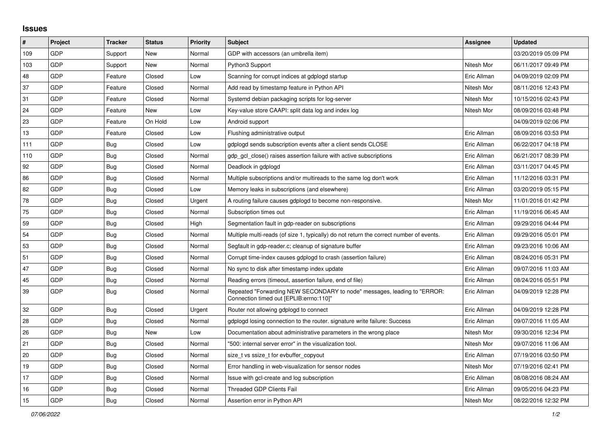## **Issues**

| $\vert$ # | Project    | <b>Tracker</b> | <b>Status</b> | <b>Priority</b> | <b>Subject</b>                                                                                                      | <b>Assignee</b> | <b>Updated</b>      |
|-----------|------------|----------------|---------------|-----------------|---------------------------------------------------------------------------------------------------------------------|-----------------|---------------------|
| 109       | GDP        | Support        | New           | Normal          | GDP with accessors (an umbrella item)                                                                               |                 | 03/20/2019 05:09 PM |
| 103       | GDP        | Support        | New           | Normal          | Python3 Support                                                                                                     | Nitesh Mor      | 06/11/2017 09:49 PM |
| 48        | GDP        | Feature        | Closed        | Low             | Scanning for corrupt indices at gdplogd startup                                                                     | Eric Allman     | 04/09/2019 02:09 PM |
| 37        | GDP        | Feature        | Closed        | Normal          | Add read by timestamp feature in Python API                                                                         | Nitesh Mor      | 08/11/2016 12:43 PM |
| 31        | GDP        | Feature        | Closed        | Normal          | Systemd debian packaging scripts for log-server                                                                     | Nitesh Mor      | 10/15/2016 02:43 PM |
| 24        | GDP        | Feature        | New           | Low             | Key-value store CAAPI: split data log and index log                                                                 | Nitesh Mor      | 08/09/2016 03:48 PM |
| 23        | <b>GDP</b> | Feature        | On Hold       | Low             | Android support                                                                                                     |                 | 04/09/2019 02:06 PM |
| 13        | GDP        | Feature        | Closed        | Low             | Flushing administrative output                                                                                      | Eric Allman     | 08/09/2016 03:53 PM |
| 111       | GDP        | Bug            | Closed        | Low             | gdplogd sends subscription events after a client sends CLOSE                                                        | Eric Allman     | 06/22/2017 04:18 PM |
| 110       | GDP        | <b>Bug</b>     | Closed        | Normal          | gdp_gcl_close() raises assertion failure with active subscriptions                                                  | Eric Allman     | 06/21/2017 08:39 PM |
| 92        | GDP        | Bug            | Closed        | Normal          | Deadlock in gdplogd                                                                                                 | Eric Allman     | 03/11/2017 04:45 PM |
| 86        | GDP        | Bug            | Closed        | Normal          | Multiple subscriptions and/or multireads to the same log don't work                                                 | Eric Allman     | 11/12/2016 03:31 PM |
| 82        | GDP        | Bug            | Closed        | Low             | Memory leaks in subscriptions (and elsewhere)                                                                       | Eric Allman     | 03/20/2019 05:15 PM |
| 78        | GDP        | <b>Bug</b>     | Closed        | Urgent          | A routing failure causes gdplogd to become non-responsive.                                                          | Nitesh Mor      | 11/01/2016 01:42 PM |
| 75        | GDP        | Bug            | Closed        | Normal          | Subscription times out                                                                                              | Eric Allman     | 11/19/2016 06:45 AM |
| 59        | GDP        | <b>Bug</b>     | Closed        | High            | Segmentation fault in gdp-reader on subscriptions                                                                   | Eric Allman     | 09/29/2016 04:44 PM |
| 54        | GDP        | Bug            | Closed        | Normal          | Multiple multi-reads (of size 1, typically) do not return the correct number of events.                             | Eric Allman     | 09/29/2016 05:01 PM |
| 53        | GDP        | Bug            | Closed        | Normal          | Segfault in gdp-reader.c; cleanup of signature buffer                                                               | Eric Allman     | 09/23/2016 10:06 AM |
| 51        | GDP        | <b>Bug</b>     | Closed        | Normal          | Corrupt time-index causes gdplogd to crash (assertion failure)                                                      | Eric Allman     | 08/24/2016 05:31 PM |
| 47        | GDP        | Bug            | Closed        | Normal          | No sync to disk after timestamp index update                                                                        | Eric Allman     | 09/07/2016 11:03 AM |
| 45        | GDP        | <b>Bug</b>     | Closed        | Normal          | Reading errors (timeout, assertion failure, end of file)                                                            | Eric Allman     | 08/24/2016 05:51 PM |
| 39        | GDP        | Bug            | Closed        | Normal          | Repeated "Forwarding NEW SECONDARY to node" messages, leading to "ERROR:<br>Connection timed out [EPLIB:errno:110]" | Eric Allman     | 04/09/2019 12:28 PM |
| 32        | GDP        | Bug            | Closed        | Urgent          | Router not allowing gdplogd to connect                                                                              | Eric Allman     | 04/09/2019 12:28 PM |
| 28        | GDP        | Bug            | Closed        | Normal          | gdplogd losing connection to the router. signature write failure: Success                                           | Eric Allman     | 09/07/2016 11:05 AM |
| 26        | GDP        | <b>Bug</b>     | New           | Low             | Documentation about administrative parameters in the wrong place                                                    | Nitesh Mor      | 09/30/2016 12:34 PM |
| 21        | GDP        | <b>Bug</b>     | Closed        | Normal          | '500: internal server error" in the visualization tool.                                                             | Nitesh Mor      | 09/07/2016 11:06 AM |
| 20        | GDP        | Bug            | Closed        | Normal          | size t vs ssize t for evbuffer copyout                                                                              | Eric Allman     | 07/19/2016 03:50 PM |
| 19        | GDP        | Bug            | Closed        | Normal          | Error handling in web-visualization for sensor nodes                                                                | Nitesh Mor      | 07/19/2016 02:41 PM |
| 17        | <b>GDP</b> | Bug            | Closed        | Normal          | Issue with gcl-create and log subscription                                                                          | Eric Allman     | 08/08/2016 08:24 AM |
| 16        | GDP        | Bug            | Closed        | Normal          | Threaded GDP Clients Fail                                                                                           | Eric Allman     | 09/05/2016 04:23 PM |
| 15        | GDP        | <b>Bug</b>     | Closed        | Normal          | Assertion error in Python API                                                                                       | Nitesh Mor      | 08/22/2016 12:32 PM |